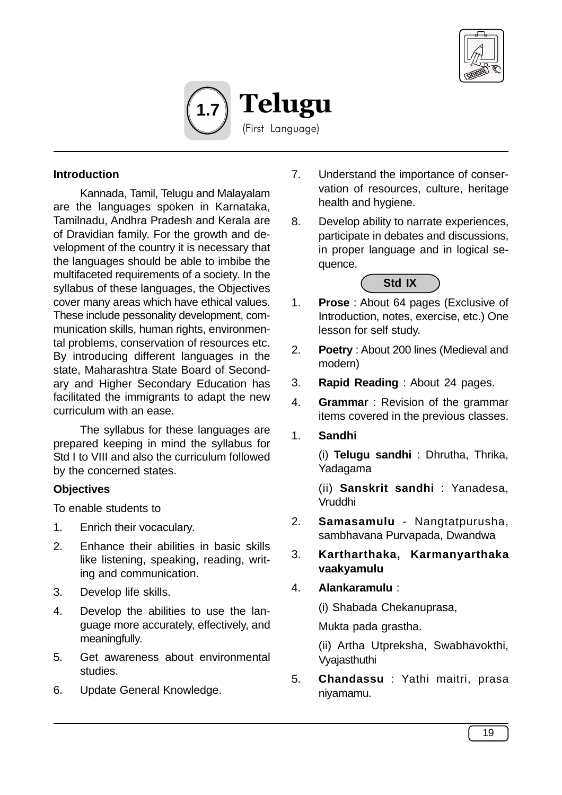



### **Introduction**

Kannada, Tamil, Telugu and Malayalam are the languages spoken in Karnataka, Tamilnadu, Andhra Pradesh and Kerala are of Dravidian family. For the growth and development of the country it is necessary that the languages should be able to imbibe the multifaceted requirements of a society. In the syllabus of these languages, the Objectives cover many areas which have ethical values. These include pessonality development, communication skills, human rights, environmental problems, conservation of resources etc. By introducing different languages in the state, Maharashtra State Board of Secondary and Higher Secondary Education has facilitated the immigrants to adapt the new curriculum with an ease.

The syllabus for these languages are prepared keeping in mind the syllabus for Std I to VIII and also the curriculum followed by the concerned states.

#### **Objectives**

To enable students to

- 1. Enrich their vocaculary.
- 2. Enhance their abilities in basic skills like listening, speaking, reading, writing and communication.
- 3. Develop life skills.
- 4. Develop the abilities to use the language more accurately, effectively, and meaningfully.
- 5. Get awareness about environmental studies.
- 6. Update General Knowledge.
- 7. Understand the importance of conservation of resources, culture, heritage health and hygiene.
- 8. Develop ability to narrate experiences, participate in debates and discussions, in proper language and in logical sequence.

#### **Std IX**

- 1. **Prose** : About 64 pages (Exclusive of Introduction, notes, exercise, etc.) One lesson for self study.
- 2. **Poetry** : About 200 lines (Medieval and modern)
- 3. **Rapid Reading** : About 24 pages.
- 4. **Grammar** : Revision of the grammar items covered in the previous classes.
- 1. **Sandhi**

(i) **Telugu sandhi** : Dhrutha, Thrika, Yadagama

(ii) **Sanskrit sandhi** : Yanadesa, Vruddhi

- 2. **Samasamulu** Nangtatpurusha, sambhavana Purvapada, Dwandwa
- 3. **Kartharthaka, Karmanyarthaka vaakyamulu**

## 4. **Alankaramulu** :

(i) Shabada Chekanuprasa,

Mukta pada grastha.

(ii) Artha Utpreksha, Swabhavokthi, Vyajasthuthi

5. **Chandassu** : Yathi maitri, prasa niyamamu.